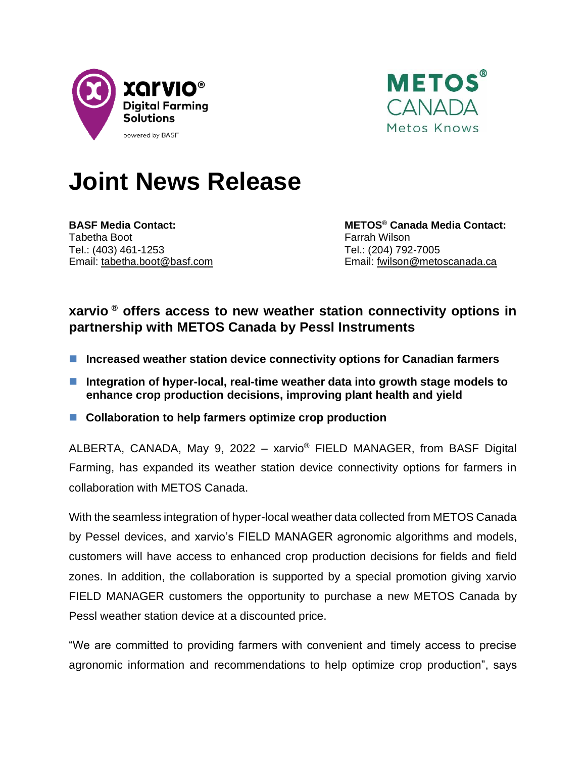



# **Joint News Release**

Tabetha Boot **Farrah Wilson** Farrah Wilson Tel.: (403) 461-1253 Tel.: (204) 792-7005

**BASF Media Contact: METOS® Canada Media Contact:** Email: [tabetha.boot@basf.com](mailto:tabetha.boot@basf.com) Email: [fwilson@metoscanada.ca](mailto:fwilson@metoscanada.ca)

# **xarvio ® offers access to new weather station connectivity options in partnership with METOS Canada by Pessl Instruments**

- Increased weather station device connectivity options for Canadian farmers
- Integration of hyper-local, real-time weather data into growth stage models to **enhance crop production decisions, improving plant health and yield**
- Collaboration to help farmers optimize crop production

ALBERTA, CANADA, May 9, 2022 – xarvio<sup>®</sup> FIELD MANAGER, from BASF Digital Farming, has expanded its weather station device connectivity options for farmers in collaboration with METOS Canada.

With the seamless integration of hyper-local weather data collected from METOS Canada by Pessel devices, and xarvio's FIELD MANAGER agronomic algorithms and models, customers will have access to enhanced crop production decisions for fields and field zones. In addition, the collaboration is supported by a special promotion giving xarvio FIELD MANAGER customers the opportunity to purchase a new METOS Canada by Pessl weather station device at a discounted price.

"We are committed to providing farmers with convenient and timely access to precise agronomic information and recommendations to help optimize crop production", says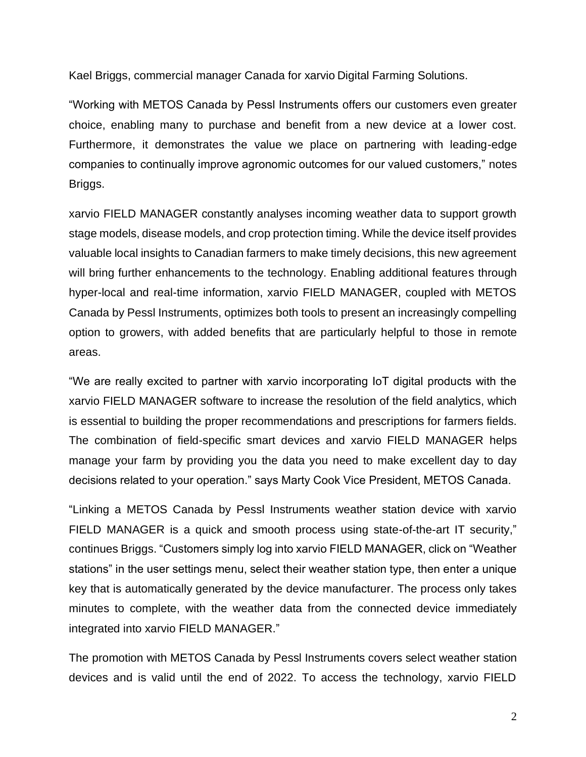Kael Briggs, commercial manager Canada for xarvio Digital Farming Solutions.

"Working with METOS Canada by Pessl Instruments offers our customers even greater choice, enabling many to purchase and benefit from a new device at a lower cost. Furthermore, it demonstrates the value we place on partnering with leading-edge companies to continually improve agronomic outcomes for our valued customers," notes Briggs.

xarvio FIELD MANAGER constantly analyses incoming weather data to support growth stage models, disease models, and crop protection timing. While the device itself provides valuable local insights to Canadian farmers to make timely decisions, this new agreement will bring further enhancements to the technology. Enabling additional features through hyper-local and real-time information, xarvio FIELD MANAGER, coupled with METOS Canada by Pessl Instruments, optimizes both tools to present an increasingly compelling option to growers, with added benefits that are particularly helpful to those in remote areas.

"We are really excited to partner with xarvio incorporating IoT digital products with the xarvio FIELD MANAGER software to increase the resolution of the field analytics, which is essential to building the proper recommendations and prescriptions for farmers fields. The combination of field-specific smart devices and xarvio FIELD MANAGER helps manage your farm by providing you the data you need to make excellent day to day decisions related to your operation." says Marty Cook Vice President, METOS Canada.

"Linking a METOS Canada by Pessl Instruments weather station device with xarvio FIELD MANAGER is a quick and smooth process using state-of-the-art IT security," continues Briggs. "Customers simply log into xarvio FIELD MANAGER, click on "Weather stations" in the user settings menu, select their weather station type, then enter a unique key that is automatically generated by the device manufacturer. The process only takes minutes to complete, with the weather data from the connected device immediately integrated into xarvio FIELD MANAGER."

The promotion with METOS Canada by Pessl Instruments covers select weather station devices and is valid until the end of 2022. To access the technology, xarvio FIELD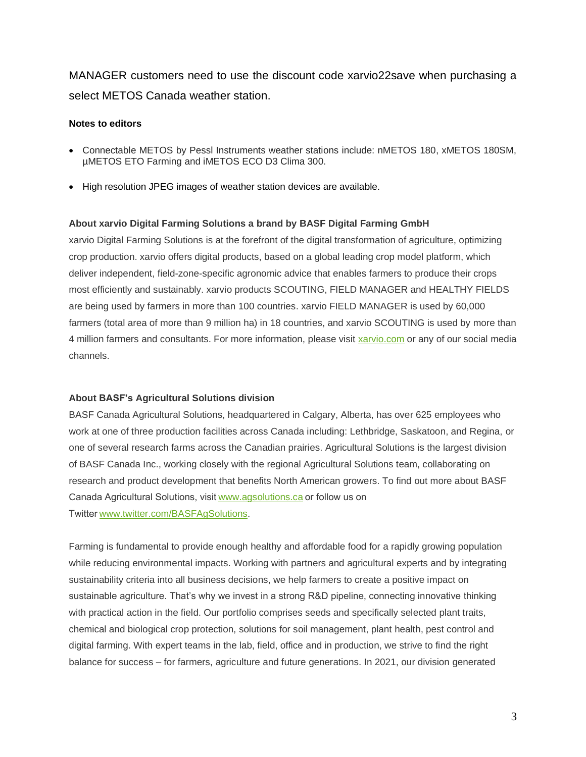MANAGER customers need to use the discount code xarvio22save when purchasing a select METOS Canada weather station.

## **Notes to editors**

- Connectable METOS by Pessl Instruments weather stations include: nMETOS 180, xMETOS 180SM, µMETOS ETO Farming and iMETOS ECO D3 Clima 300.
- High resolution JPEG images of weather station devices are available.

### **About xarvio Digital Farming Solutions a brand by BASF Digital Farming GmbH**

xarvio Digital Farming Solutions is at the forefront of the digital transformation of agriculture, optimizing crop production. xarvio offers digital products, based on a global leading crop model platform, which deliver independent, field-zone-specific agronomic advice that enables farmers to produce their crops most efficiently and sustainably. xarvio products SCOUTING, FIELD MANAGER and HEALTHY FIELDS are being used by farmers in more than 100 countries. xarvio FIELD MANAGER is used by 60,000 farmers (total area of more than 9 million ha) in 18 countries, and xarvio SCOUTING is used by more than 4 million farmers and consultants. For more information, please visit [xarvio.com](http://www.xarvio.com/) or any of our social media channels.

#### **About BASF's Agricultural Solutions division**

BASF Canada Agricultural Solutions, headquartered in Calgary, Alberta, has over 625 employees who work at one of three production facilities across Canada including: Lethbridge, Saskatoon, and Regina, or one of several research farms across the Canadian prairies. Agricultural Solutions is the largest division of BASF Canada Inc., working closely with the regional Agricultural Solutions team, collaborating on research and product development that benefits North American growers. To find out more about BASF Canada Agricultural Solutions, visi[t www.agsolutions.ca o](http://www.agsolutions.ca/)r follow us on Twitter[www.twitter.com/BASFAgSolutions.](http://www.twitter.com/basfcanada)

Farming is fundamental to provide enough healthy and affordable food for a rapidly growing population while reducing environmental impacts. Working with partners and agricultural experts and by integrating sustainability criteria into all business decisions, we help farmers to create a positive impact on sustainable agriculture. That's why we invest in a strong R&D pipeline, connecting innovative thinking with practical action in the field. Our portfolio comprises seeds and specifically selected plant traits, chemical and biological crop protection, solutions for soil management, plant health, pest control and digital farming. With expert teams in the lab, field, office and in production, we strive to find the right balance for success – for farmers, agriculture and future generations. In 2021, our division generated